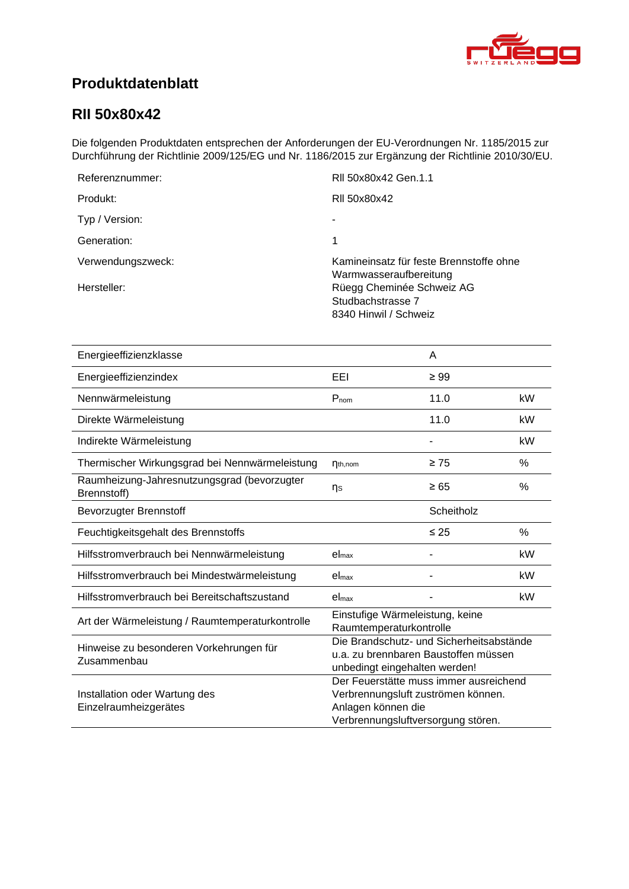<span id="page-0-4"></span><span id="page-0-3"></span><span id="page-0-2"></span><span id="page-0-1"></span>

# **Produktdatenblatt**

### <span id="page-0-0"></span>**RII 50x80x42**

Die folgenden Produktdaten entsprechen der Anforderungen der EU-Verordnungen Nr. 1185/2015 zur Durchführung der Richtlinie 2009/125/EG und Nr. 1186/2015 zur Ergänzung der Richtlinie 2010/30/EU.

| Referenznummer:   | RII 50x80x42 Gen.1.1                                                    |
|-------------------|-------------------------------------------------------------------------|
| Produkt:          | RII 50x80x42                                                            |
| Typ / Version:    |                                                                         |
| Generation:       | 1                                                                       |
| Verwendungszweck: | Kamineinsatz für feste Brennstoffe ohne<br>Warmwasseraufbereitung       |
| Hersteller:       | Rüegg Cheminée Schweiz AG<br>Studbachstrasse 7<br>8340 Hinwil / Schweiz |

<span id="page-0-8"></span><span id="page-0-7"></span><span id="page-0-6"></span><span id="page-0-5"></span>

| Energieeffizienzklasse                                     |                                                                                                                   | A                                      |      |
|------------------------------------------------------------|-------------------------------------------------------------------------------------------------------------------|----------------------------------------|------|
| Energieeffizienzindex                                      | EEL                                                                                                               | $\geq 99$                              |      |
| Nennwärmeleistung                                          | $P_{nom}$                                                                                                         | 11.0                                   | kW   |
| Direkte Wärmeleistung                                      |                                                                                                                   | 11.0                                   | kW   |
| Indirekte Wärmeleistung                                    |                                                                                                                   |                                        | kW   |
| Thermischer Wirkungsgrad bei Nennwärmeleistung             | $\eta_{th,nom}$                                                                                                   | $\geq 75$                              | %    |
| Raumheizung-Jahresnutzungsgrad (bevorzugter<br>Brennstoff) | ηs                                                                                                                | $\geq 65$                              | $\%$ |
| <b>Bevorzugter Brennstoff</b>                              |                                                                                                                   | Scheitholz                             |      |
| Feuchtigkeitsgehalt des Brennstoffs                        |                                                                                                                   | $\leq 25$                              | $\%$ |
| Hilfsstromverbrauch bei Nennwärmeleistung                  | el <sub>max</sub>                                                                                                 |                                        | kW   |
| Hilfsstromverbrauch bei Mindestwärmeleistung               | el <sub>max</sub>                                                                                                 |                                        | kW   |
| Hilfsstromverbrauch bei Bereitschaftszustand               | el <sub>max</sub>                                                                                                 |                                        | kW   |
| Art der Wärmeleistung / Raumtemperaturkontrolle            | Einstufige Wärmeleistung, keine<br>Raumtemperaturkontrolle                                                        |                                        |      |
| Hinweise zu besonderen Vorkehrungen für<br>Zusammenbau     | Die Brandschutz- und Sicherheitsabstände<br>u.a. zu brennbaren Baustoffen müssen<br>unbedingt eingehalten werden! |                                        |      |
| Installation oder Wartung des<br>Einzelraumheizgerätes     | Verbrennungsluft zuströmen können.<br>Anlagen können die<br>Verbrennungsluftversorgung stören.                    | Der Feuerstätte muss immer ausreichend |      |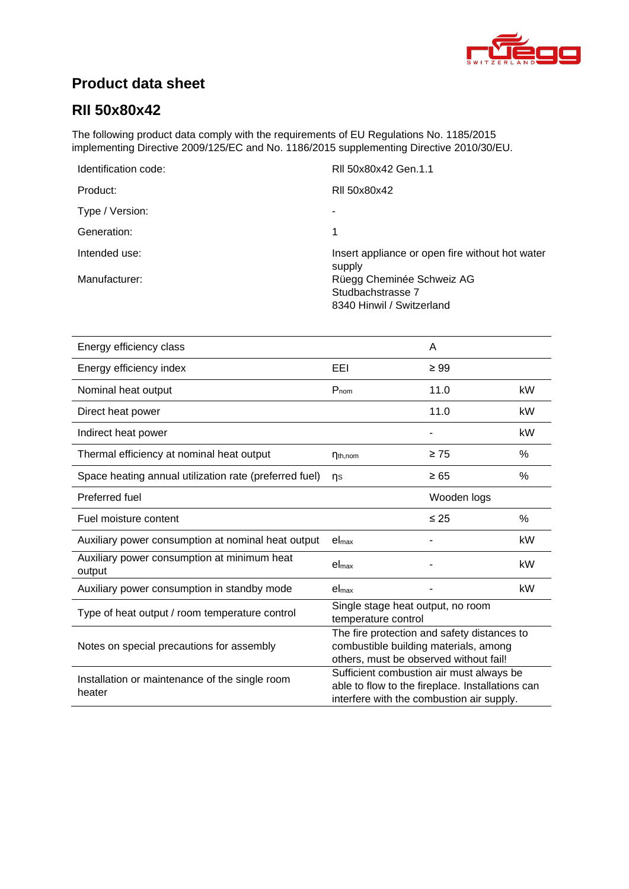

# **Product data sheet**

## **[RII 50x80x42](#page-0-0)**

The following product data comply with the requirements of EU Regulations No. 1185/2015 implementing Directive 2009/125/EC and No. 1186/2015 supplementing Directive 2010/30/EU.

| Identification code: | RII 50x80x42 Gen.1.1                                      |
|----------------------|-----------------------------------------------------------|
| Product:             | RII 50x80x42                                              |
| Type / Version:      | ۰                                                         |
| Generation:          | 1                                                         |
| Intended use:        | Insert appliance or open fire without hot water<br>supply |
| Manufacturer:        | Rüegg Cheminée Schweiz AG                                 |
|                      | Studbachstrasse 7                                         |
|                      | 8340 Hinwil / Switzerland                                 |

| Energy efficiency class                                  |                                                                                                                                           | A           |      |
|----------------------------------------------------------|-------------------------------------------------------------------------------------------------------------------------------------------|-------------|------|
| Energy efficiency index                                  | EEI                                                                                                                                       | $\geq 99$   |      |
| Nominal heat output                                      | $P_{nom}$                                                                                                                                 | 11.0        | kW   |
| Direct heat power                                        |                                                                                                                                           | 11.0        | kW   |
| Indirect heat power                                      |                                                                                                                                           |             | kW   |
| Thermal efficiency at nominal heat output                | $\eta_{th,nom}$                                                                                                                           | $\geq 75$   | %    |
| Space heating annual utilization rate (preferred fuel)   | ns                                                                                                                                        | $\geq 65$   | %    |
| Preferred fuel                                           |                                                                                                                                           | Wooden logs |      |
| Fuel moisture content                                    |                                                                                                                                           | $\leq 25$   | $\%$ |
| Auxiliary power consumption at nominal heat output       | el <sub>max</sub>                                                                                                                         |             | kW   |
| Auxiliary power consumption at minimum heat<br>output    | $el_{\text{max}}$                                                                                                                         |             | kW   |
| Auxiliary power consumption in standby mode              | el <sub>max</sub>                                                                                                                         |             | kW   |
| Type of heat output / room temperature control           | Single stage heat output, no room<br>temperature control                                                                                  |             |      |
| Notes on special precautions for assembly                | The fire protection and safety distances to<br>combustible building materials, among<br>others, must be observed without fail!            |             |      |
| Installation or maintenance of the single room<br>heater | Sufficient combustion air must always be<br>able to flow to the fireplace. Installations can<br>interfere with the combustion air supply. |             |      |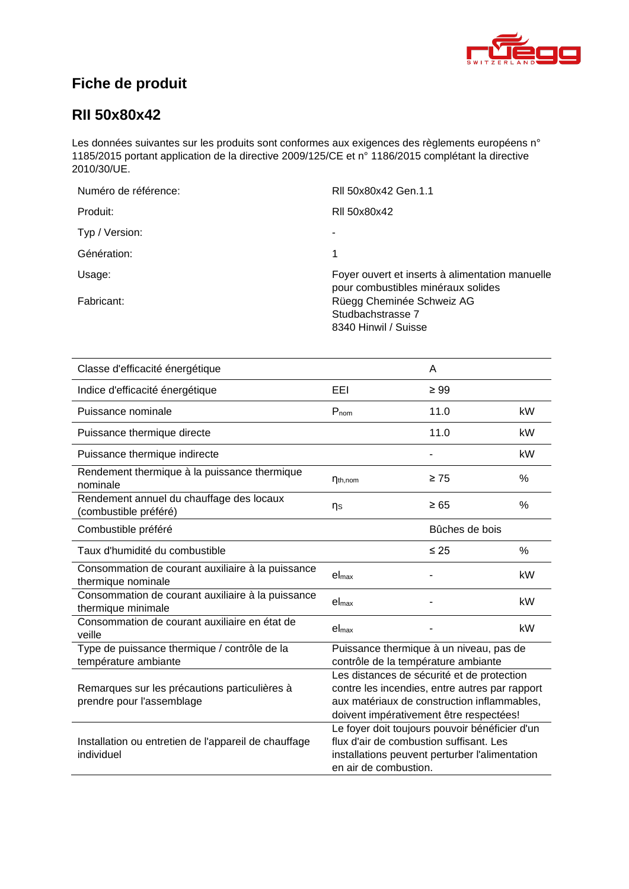

# **Fiche de produit**

### **[RII 50x80x42](#page-0-0)**

Les données suivantes sur les produits sont conformes aux exigences des règlements européens n° 1185/2015 portant application de la directive 2009/125/CE et n° 1186/2015 complétant la directive 2010/30/UE.

| Numéro de référence: | RII 50x80x42 Gen.1.1                                                                  |
|----------------------|---------------------------------------------------------------------------------------|
| Produit:             | RII 50x80x42                                                                          |
| Typ / Version:       | ۰                                                                                     |
| Génération:          | 1                                                                                     |
| Usage:               | Foyer ouvert et inserts à alimentation manuelle<br>pour combustibles minéraux solides |
| Fabricant:           | Rüegg Cheminée Schweiz AG<br>Studbachstrasse 7<br>8340 Hinwil / Suisse                |

| Classe d'efficacité énergétique                                            |                                                                                                                                                                                        | A                                                                                                                                           |      |
|----------------------------------------------------------------------------|----------------------------------------------------------------------------------------------------------------------------------------------------------------------------------------|---------------------------------------------------------------------------------------------------------------------------------------------|------|
| Indice d'efficacité énergétique                                            | EEL                                                                                                                                                                                    | $\geq 99$                                                                                                                                   |      |
| Puissance nominale                                                         | $P_{nom}$                                                                                                                                                                              | 11.0                                                                                                                                        | kW   |
| Puissance thermique directe                                                |                                                                                                                                                                                        | 11.0                                                                                                                                        | kW   |
| Puissance thermique indirecte                                              |                                                                                                                                                                                        |                                                                                                                                             | kW   |
| Rendement thermique à la puissance thermique<br>nominale                   | $\eta_{th,nom}$                                                                                                                                                                        | $\geq 75$                                                                                                                                   | $\%$ |
| Rendement annuel du chauffage des locaux<br>(combustible préféré)          | ηs                                                                                                                                                                                     | $\geq 65$                                                                                                                                   | %    |
| Combustible préféré                                                        |                                                                                                                                                                                        | Bûches de bois                                                                                                                              |      |
| Taux d'humidité du combustible                                             |                                                                                                                                                                                        | $\leq 25$                                                                                                                                   | $\%$ |
| Consommation de courant auxiliaire à la puissance<br>thermique nominale    | el <sub>max</sub>                                                                                                                                                                      |                                                                                                                                             | kW   |
| Consommation de courant auxiliaire à la puissance<br>thermique minimale    | $el_{max}$                                                                                                                                                                             |                                                                                                                                             | kW   |
| Consommation de courant auxiliaire en état de<br>veille                    | el <sub>max</sub>                                                                                                                                                                      |                                                                                                                                             | kW   |
| Type de puissance thermique / contrôle de la<br>température ambiante       | Puissance thermique à un niveau, pas de<br>contrôle de la température ambiante                                                                                                         |                                                                                                                                             |      |
| Remarques sur les précautions particulières à<br>prendre pour l'assemblage | Les distances de sécurité et de protection<br>contre les incendies, entre autres par rapport<br>aux matériaux de construction inflammables,<br>doivent impérativement être respectées! |                                                                                                                                             |      |
| Installation ou entretien de l'appareil de chauffage<br>individuel         | en air de combustion.                                                                                                                                                                  | Le foyer doit toujours pouvoir bénéficier d'un<br>flux d'air de combustion suffisant. Les<br>installations peuvent perturber l'alimentation |      |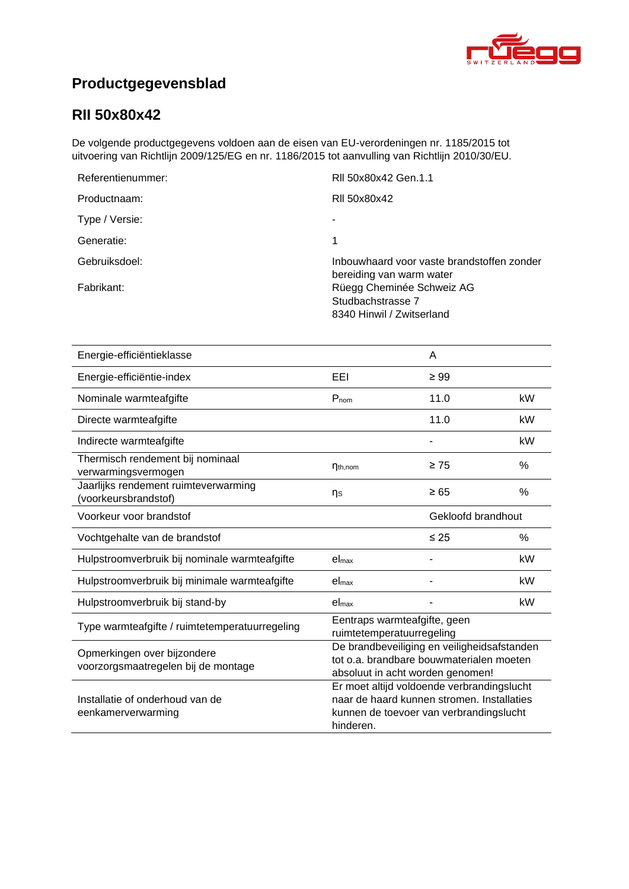

# **Productgegevensblad**

### **[RII 50x80x42](#page-0-0)**

De volgende productgegevens voldoen aan de eisen van EU-verordeningen nr. 1185/2015 tot uitvoering van Richtlijn 2009/125/EG en nr. 1186/2015 tot aanvulling van Richtlijn 2010/30/EU.

| Referentienummer: | RII 50x80x42 Gen.1.1                                                        |
|-------------------|-----------------------------------------------------------------------------|
| Productnaam:      | RII 50x80x42                                                                |
| Type / Versie:    |                                                                             |
| Generatie:        |                                                                             |
| Gebruiksdoel:     | Inbouwhaard voor vaste brandstoffen zonder<br>bereiding van warm water      |
| Fabrikant:        | Rüegg Cheminée Schweiz AG<br>Studbachstrasse 7<br>8340 Hinwil / Zwitserland |

| Energie-efficiëntieklasse                                          |                                                                                                                                                  | A         |               |
|--------------------------------------------------------------------|--------------------------------------------------------------------------------------------------------------------------------------------------|-----------|---------------|
| Energie-efficiëntie-index                                          | EEI                                                                                                                                              | $\geq 99$ |               |
| Nominale warmteafgifte                                             | $P_{nom}$                                                                                                                                        | 11.0      | kW            |
| Directe warmteafgifte                                              |                                                                                                                                                  | 11.0      | kW            |
| Indirecte warmteafgifte                                            |                                                                                                                                                  |           | kW            |
| Thermisch rendement bij nominaal<br>verwarmingsvermogen            | $\eta_{th,nom}$                                                                                                                                  | $\geq 75$ | $\frac{0}{0}$ |
| Jaarlijks rendement ruimteverwarming<br>(voorkeursbrandstof)       | ηs                                                                                                                                               | $\geq 65$ | %             |
| Voorkeur voor brandstof                                            | Gekloofd brandhout                                                                                                                               |           |               |
| Vochtgehalte van de brandstof                                      |                                                                                                                                                  | $\leq 25$ | $\%$          |
| Hulpstroomverbruik bij nominale warmteafgifte                      | el <sub>max</sub>                                                                                                                                |           | kW            |
| Hulpstroomverbruik bij minimale warmteafgifte                      | el <sub>max</sub>                                                                                                                                |           | kW            |
| Hulpstroomverbruik bij stand-by                                    | el <sub>max</sub>                                                                                                                                |           | kW            |
| Type warmteafgifte / ruimtetemperatuurregeling                     | Eentraps warmteafgifte, geen<br>ruimtetemperatuurregeling                                                                                        |           |               |
| Opmerkingen over bijzondere<br>voorzorgsmaatregelen bij de montage | De brandbeveiliging en veiligheidsafstanden<br>tot o.a. brandbare bouwmaterialen moeten<br>absoluut in acht worden genomen!                      |           |               |
| Installatie of onderhoud van de<br>eenkamerverwarming              | Er moet altijd voldoende verbrandingslucht<br>naar de haard kunnen stromen. Installaties<br>kunnen de toevoer van verbrandingslucht<br>hinderen. |           |               |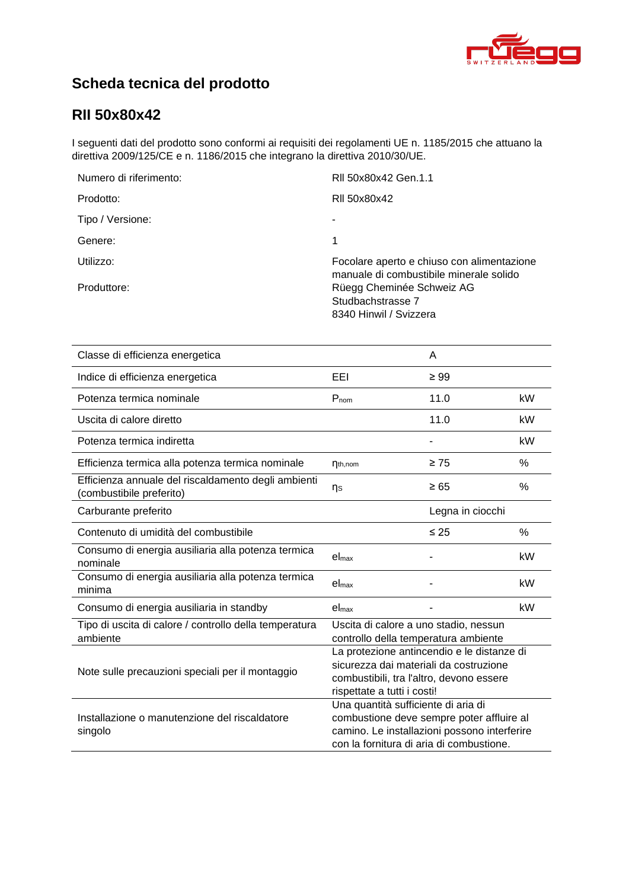

# **Scheda tecnica del prodotto**

## **[RII 50x80x42](#page-0-0)**

I seguenti dati del prodotto sono conformi ai requisiti dei regolamenti UE n. 1185/2015 che attuano la direttiva 2009/125/CE e n. 1186/2015 che integrano la direttiva 2010/30/UE.

| Numero di riferimento: | RII 50x80x42 Gen.1.1                                                                  |
|------------------------|---------------------------------------------------------------------------------------|
| Prodotto:              | RII 50x80x42                                                                          |
| Tipo / Versione:       | ۰                                                                                     |
| Genere:                | 1                                                                                     |
| Utilizzo:              | Focolare aperto e chiuso con alimentazione<br>manuale di combustibile minerale solido |
| Produttore:            | Rüegg Cheminée Schweiz AG<br>Studbachstrasse 7<br>8340 Hinwil / Svizzera              |

| Classe di efficienza energetica                                                 |                                                                                                                                                                              | A                |    |
|---------------------------------------------------------------------------------|------------------------------------------------------------------------------------------------------------------------------------------------------------------------------|------------------|----|
| Indice di efficienza energetica                                                 | EEL                                                                                                                                                                          | $\geq 99$        |    |
| Potenza termica nominale                                                        | $P_{nom}$                                                                                                                                                                    | 11.0             | kW |
| Uscita di calore diretto                                                        |                                                                                                                                                                              | 11.0             | kW |
| Potenza termica indiretta                                                       |                                                                                                                                                                              |                  | kW |
| Efficienza termica alla potenza termica nominale                                | $\eta_{th,nom}$                                                                                                                                                              | $\geq 75$        | %  |
| Efficienza annuale del riscaldamento degli ambienti<br>(combustibile preferito) | ηs                                                                                                                                                                           | $\geq 65$        | %  |
| Carburante preferito                                                            |                                                                                                                                                                              | Legna in ciocchi |    |
| Contenuto di umidità del combustibile                                           |                                                                                                                                                                              | $\leq 25$        | %  |
| Consumo di energia ausiliaria alla potenza termica<br>nominale                  | el <sub>max</sub>                                                                                                                                                            |                  | kW |
| Consumo di energia ausiliaria alla potenza termica<br>minima                    | $el_{\text{max}}$                                                                                                                                                            |                  | kW |
| Consumo di energia ausiliaria in standby                                        | el <sub>max</sub>                                                                                                                                                            |                  | kW |
| Tipo di uscita di calore / controllo della temperatura<br>ambiente              | Uscita di calore a uno stadio, nessun<br>controllo della temperatura ambiente                                                                                                |                  |    |
| Note sulle precauzioni speciali per il montaggio                                | La protezione antincendio e le distanze di<br>sicurezza dai materiali da costruzione<br>combustibili, tra l'altro, devono essere<br>rispettate a tutti i costi!              |                  |    |
| Installazione o manutenzione del riscaldatore<br>singolo                        | Una quantità sufficiente di aria di<br>combustione deve sempre poter affluire al<br>camino. Le installazioni possono interferire<br>con la fornitura di aria di combustione. |                  |    |